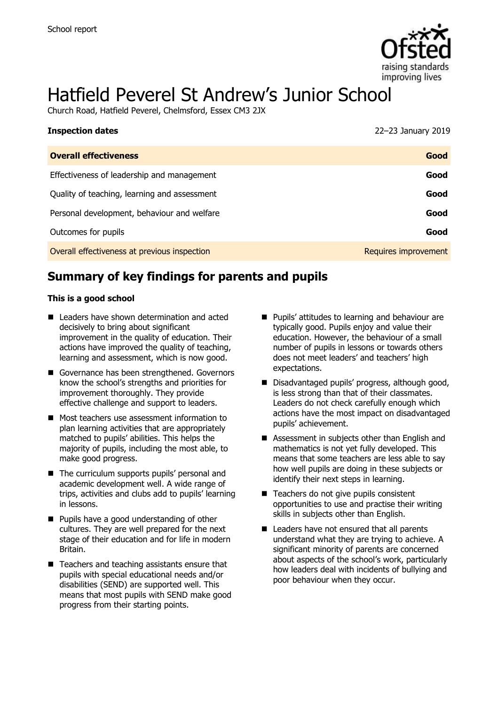

# Hatfield Peverel St Andrew's Junior School

Church Road, Hatfield Peverel, Chelmsford, Essex CM3 2JX

| <b>Inspection dates</b>                      | 22-23 January 2019   |
|----------------------------------------------|----------------------|
| <b>Overall effectiveness</b>                 | Good                 |
| Effectiveness of leadership and management   | Good                 |
| Quality of teaching, learning and assessment | Good                 |
| Personal development, behaviour and welfare  | Good                 |
| Outcomes for pupils                          | Good                 |
| Overall effectiveness at previous inspection | Requires improvement |

# **Summary of key findings for parents and pupils**

#### **This is a good school**

- Leaders have shown determination and acted decisively to bring about significant improvement in the quality of education. Their actions have improved the quality of teaching, learning and assessment, which is now good.
- Governance has been strengthened. Governors know the school's strengths and priorities for improvement thoroughly. They provide effective challenge and support to leaders.
- Most teachers use assessment information to plan learning activities that are appropriately matched to pupils' abilities. This helps the majority of pupils, including the most able, to make good progress.
- The curriculum supports pupils' personal and academic development well. A wide range of trips, activities and clubs add to pupils' learning in lessons.
- **Pupils have a good understanding of other** cultures. They are well prepared for the next stage of their education and for life in modern Britain.
- Teachers and teaching assistants ensure that pupils with special educational needs and/or disabilities (SEND) are supported well. This means that most pupils with SEND make good progress from their starting points.
- **Pupils' attitudes to learning and behaviour are** typically good. Pupils enjoy and value their education. However, the behaviour of a small number of pupils in lessons or towards others does not meet leaders' and teachers' high expectations.
- Disadvantaged pupils' progress, although good, is less strong than that of their classmates. Leaders do not check carefully enough which actions have the most impact on disadvantaged pupils' achievement.
- Assessment in subjects other than English and mathematics is not yet fully developed. This means that some teachers are less able to say how well pupils are doing in these subjects or identify their next steps in learning.
- Teachers do not give pupils consistent opportunities to use and practise their writing skills in subjects other than English.
- Leaders have not ensured that all parents understand what they are trying to achieve. A significant minority of parents are concerned about aspects of the school's work, particularly how leaders deal with incidents of bullying and poor behaviour when they occur.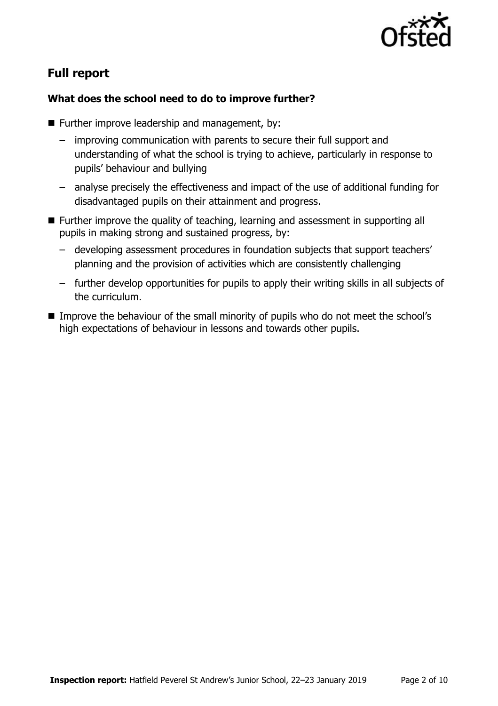

# **Full report**

#### **What does the school need to do to improve further?**

- $\blacksquare$  Further improve leadership and management, by:
	- improving communication with parents to secure their full support and understanding of what the school is trying to achieve, particularly in response to pupils' behaviour and bullying
	- analyse precisely the effectiveness and impact of the use of additional funding for disadvantaged pupils on their attainment and progress.
- Further improve the quality of teaching, learning and assessment in supporting all pupils in making strong and sustained progress, by:
	- developing assessment procedures in foundation subjects that support teachers' planning and the provision of activities which are consistently challenging
	- further develop opportunities for pupils to apply their writing skills in all subjects of the curriculum.
- Improve the behaviour of the small minority of pupils who do not meet the school's high expectations of behaviour in lessons and towards other pupils.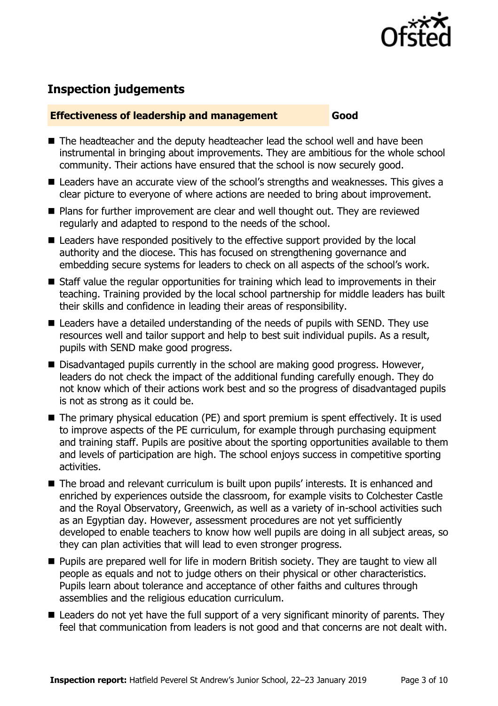

# **Inspection judgements**

#### **Effectiveness of leadership and management Good**

- The headteacher and the deputy headteacher lead the school well and have been instrumental in bringing about improvements. They are ambitious for the whole school community. Their actions have ensured that the school is now securely good.
- Leaders have an accurate view of the school's strengths and weaknesses. This gives a clear picture to everyone of where actions are needed to bring about improvement.
- Plans for further improvement are clear and well thought out. They are reviewed regularly and adapted to respond to the needs of the school.
- Leaders have responded positively to the effective support provided by the local authority and the diocese. This has focused on strengthening governance and embedding secure systems for leaders to check on all aspects of the school's work.
- Staff value the regular opportunities for training which lead to improvements in their teaching. Training provided by the local school partnership for middle leaders has built their skills and confidence in leading their areas of responsibility.
- Leaders have a detailed understanding of the needs of pupils with SEND. They use resources well and tailor support and help to best suit individual pupils. As a result, pupils with SEND make good progress.
- $\blacksquare$  Disadvantaged pupils currently in the school are making good progress. However, leaders do not check the impact of the additional funding carefully enough. They do not know which of their actions work best and so the progress of disadvantaged pupils is not as strong as it could be.
- The primary physical education (PE) and sport premium is spent effectively. It is used to improve aspects of the PE curriculum, for example through purchasing equipment and training staff. Pupils are positive about the sporting opportunities available to them and levels of participation are high. The school enjoys success in competitive sporting activities.
- The broad and relevant curriculum is built upon pupils' interests. It is enhanced and enriched by experiences outside the classroom, for example visits to Colchester Castle and the Royal Observatory, Greenwich, as well as a variety of in-school activities such as an Egyptian day. However, assessment procedures are not yet sufficiently developed to enable teachers to know how well pupils are doing in all subject areas, so they can plan activities that will lead to even stronger progress.
- **Pupils are prepared well for life in modern British society. They are taught to view all** people as equals and not to judge others on their physical or other characteristics. Pupils learn about tolerance and acceptance of other faiths and cultures through assemblies and the religious education curriculum.
- Leaders do not yet have the full support of a very significant minority of parents. They feel that communication from leaders is not good and that concerns are not dealt with.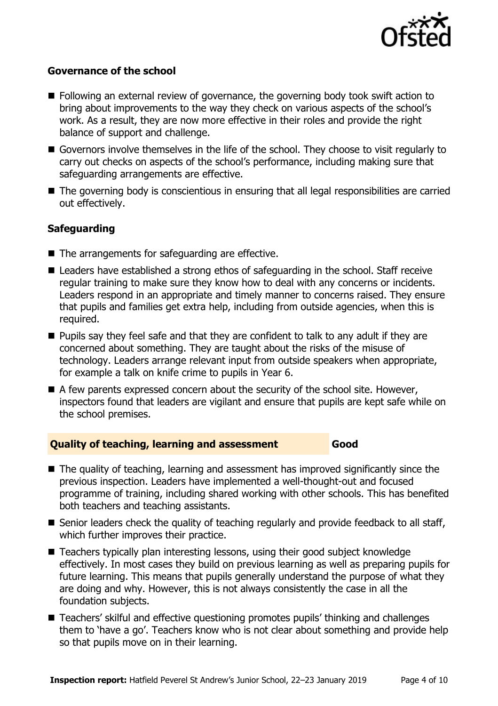

#### **Governance of the school**

- **Following an external review of governance, the governing body took swift action to** bring about improvements to the way they check on various aspects of the school's work. As a result, they are now more effective in their roles and provide the right balance of support and challenge.
- Governors involve themselves in the life of the school. They choose to visit regularly to carry out checks on aspects of the school's performance, including making sure that safeguarding arrangements are effective.
- The governing body is conscientious in ensuring that all legal responsibilities are carried out effectively.

### **Safeguarding**

- $\blacksquare$  The arrangements for safeguarding are effective.
- Leaders have established a strong ethos of safeguarding in the school. Staff receive regular training to make sure they know how to deal with any concerns or incidents. Leaders respond in an appropriate and timely manner to concerns raised. They ensure that pupils and families get extra help, including from outside agencies, when this is required.
- **Pupils say they feel safe and that they are confident to talk to any adult if they are** concerned about something. They are taught about the risks of the misuse of technology. Leaders arrange relevant input from outside speakers when appropriate, for example a talk on knife crime to pupils in Year 6.
- $\blacksquare$  A few parents expressed concern about the security of the school site. However, inspectors found that leaders are vigilant and ensure that pupils are kept safe while on the school premises.

#### **Quality of teaching, learning and assessment Good**

- The quality of teaching, learning and assessment has improved significantly since the previous inspection. Leaders have implemented a well-thought-out and focused programme of training, including shared working with other schools. This has benefited both teachers and teaching assistants.
- Senior leaders check the quality of teaching regularly and provide feedback to all staff, which further improves their practice.
- Teachers typically plan interesting lessons, using their good subject knowledge effectively. In most cases they build on previous learning as well as preparing pupils for future learning. This means that pupils generally understand the purpose of what they are doing and why. However, this is not always consistently the case in all the foundation subjects.
- Teachers' skilful and effective questioning promotes pupils' thinking and challenges them to 'have a go'. Teachers know who is not clear about something and provide help so that pupils move on in their learning.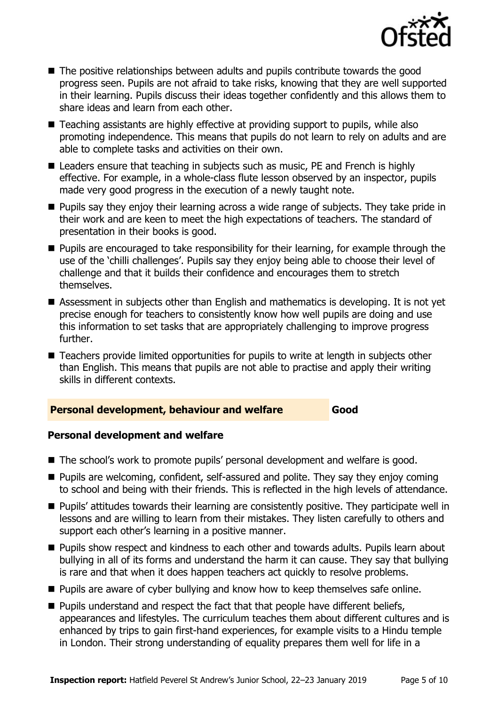

- The positive relationships between adults and pupils contribute towards the good progress seen. Pupils are not afraid to take risks, knowing that they are well supported in their learning. Pupils discuss their ideas together confidently and this allows them to share ideas and learn from each other.
- Teaching assistants are highly effective at providing support to pupils, while also promoting independence. This means that pupils do not learn to rely on adults and are able to complete tasks and activities on their own.
- Leaders ensure that teaching in subjects such as music, PE and French is highly effective. For example, in a whole-class flute lesson observed by an inspector, pupils made very good progress in the execution of a newly taught note.
- **Pupils say they enjoy their learning across a wide range of subjects. They take pride in** their work and are keen to meet the high expectations of teachers. The standard of presentation in their books is good.
- **Pupils are encouraged to take responsibility for their learning, for example through the** use of the 'chilli challenges'. Pupils say they enjoy being able to choose their level of challenge and that it builds their confidence and encourages them to stretch themselves.
- Assessment in subjects other than English and mathematics is developing. It is not yet precise enough for teachers to consistently know how well pupils are doing and use this information to set tasks that are appropriately challenging to improve progress further.
- Teachers provide limited opportunities for pupils to write at length in subjects other than English. This means that pupils are not able to practise and apply their writing skills in different contexts.

#### **Personal development, behaviour and welfare Good**

#### **Personal development and welfare**

- The school's work to promote pupils' personal development and welfare is good.
- Pupils are welcoming, confident, self-assured and polite. They say they enjoy coming to school and being with their friends. This is reflected in the high levels of attendance.
- **Pupils' attitudes towards their learning are consistently positive. They participate well in** lessons and are willing to learn from their mistakes. They listen carefully to others and support each other's learning in a positive manner.
- **Pupils show respect and kindness to each other and towards adults. Pupils learn about** bullying in all of its forms and understand the harm it can cause. They say that bullying is rare and that when it does happen teachers act quickly to resolve problems.
- **Pupils are aware of cyber bullying and know how to keep themselves safe online.**
- $\blacksquare$  Pupils understand and respect the fact that that people have different beliefs, appearances and lifestyles. The curriculum teaches them about different cultures and is enhanced by trips to gain first-hand experiences, for example visits to a Hindu temple in London. Their strong understanding of equality prepares them well for life in a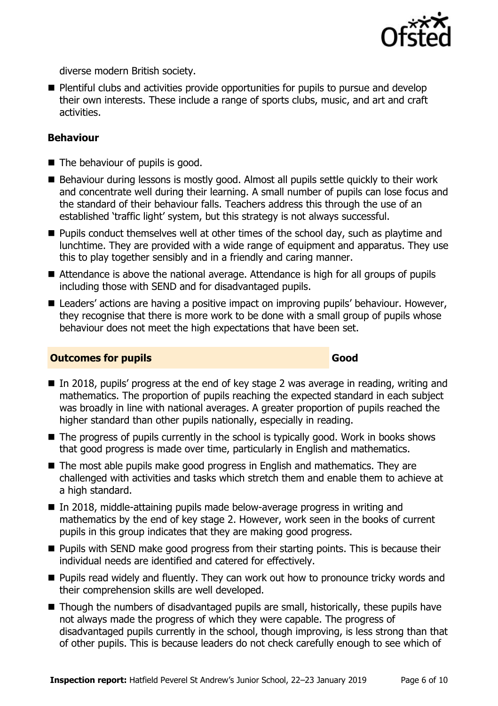

diverse modern British society.

**Plentiful clubs and activities provide opportunities for pupils to pursue and develop** their own interests. These include a range of sports clubs, music, and art and craft activities.

#### **Behaviour**

- $\blacksquare$  The behaviour of pupils is good.
- Behaviour during lessons is mostly good. Almost all pupils settle quickly to their work and concentrate well during their learning. A small number of pupils can lose focus and the standard of their behaviour falls. Teachers address this through the use of an established 'traffic light' system, but this strategy is not always successful.
- $\blacksquare$  Pupils conduct themselves well at other times of the school day, such as playtime and lunchtime. They are provided with a wide range of equipment and apparatus. They use this to play together sensibly and in a friendly and caring manner.
- Attendance is above the national average. Attendance is high for all groups of pupils including those with SEND and for disadvantaged pupils.
- Leaders' actions are having a positive impact on improving pupils' behaviour. However, they recognise that there is more work to be done with a small group of pupils whose behaviour does not meet the high expectations that have been set.

#### **Outcomes for pupils Good**

- In 2018, pupils' progress at the end of key stage 2 was average in reading, writing and mathematics. The proportion of pupils reaching the expected standard in each subject was broadly in line with national averages. A greater proportion of pupils reached the higher standard than other pupils nationally, especially in reading.
- The progress of pupils currently in the school is typically good. Work in books shows that good progress is made over time, particularly in English and mathematics.
- The most able pupils make good progress in English and mathematics. They are challenged with activities and tasks which stretch them and enable them to achieve at a high standard.
- In 2018, middle-attaining pupils made below-average progress in writing and mathematics by the end of key stage 2. However, work seen in the books of current pupils in this group indicates that they are making good progress.
- **Pupils with SEND make good progress from their starting points. This is because their** individual needs are identified and catered for effectively.
- Pupils read widely and fluently. They can work out how to pronounce tricky words and their comprehension skills are well developed.
- Though the numbers of disadvantaged pupils are small, historically, these pupils have not always made the progress of which they were capable. The progress of disadvantaged pupils currently in the school, though improving, is less strong than that of other pupils. This is because leaders do not check carefully enough to see which of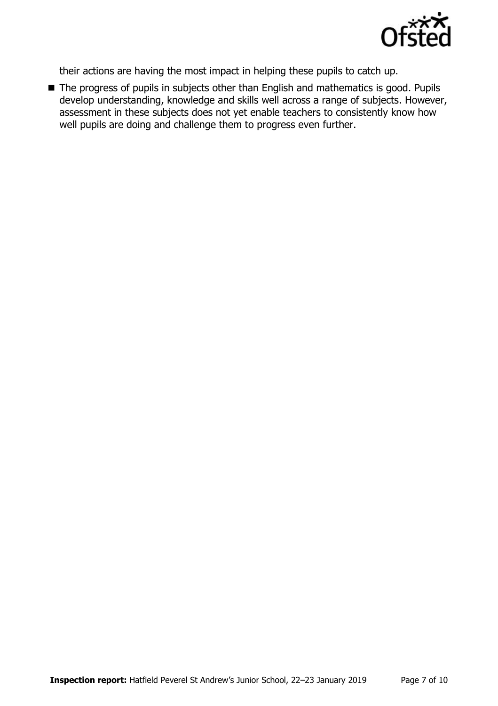

their actions are having the most impact in helping these pupils to catch up.

■ The progress of pupils in subjects other than English and mathematics is good. Pupils develop understanding, knowledge and skills well across a range of subjects. However, assessment in these subjects does not yet enable teachers to consistently know how well pupils are doing and challenge them to progress even further.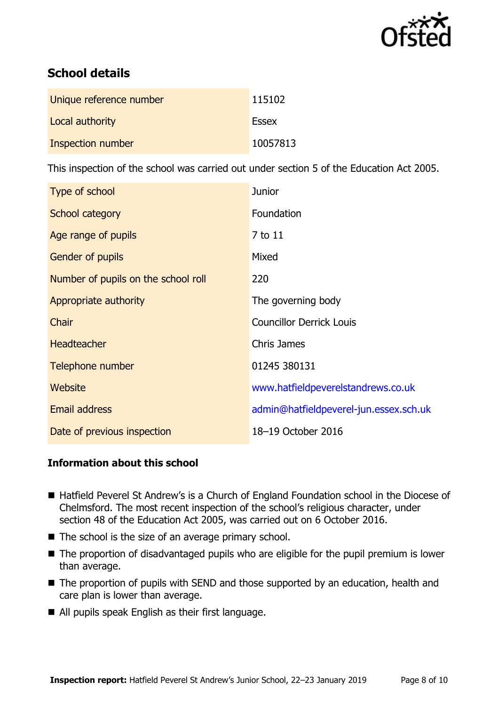

# **School details**

| Unique reference number  | 115102       |
|--------------------------|--------------|
| Local authority          | <b>Essex</b> |
| <b>Inspection number</b> | 10057813     |

This inspection of the school was carried out under section 5 of the Education Act 2005.

| Type of school                      | <b>Junior</b>                          |
|-------------------------------------|----------------------------------------|
| School category                     | Foundation                             |
| Age range of pupils                 | 7 to 11                                |
| Gender of pupils                    | Mixed                                  |
| Number of pupils on the school roll | 220                                    |
| Appropriate authority               | The governing body                     |
| Chair                               | <b>Councillor Derrick Louis</b>        |
| <b>Headteacher</b>                  | <b>Chris James</b>                     |
| Telephone number                    | 01245 380131                           |
| Website                             | www.hatfieldpeverelstandrews.co.uk     |
| <b>Email address</b>                | admin@hatfieldpeverel-jun.essex.sch.uk |
| Date of previous inspection         | 18-19 October 2016                     |

## **Information about this school**

- Hatfield Peverel St Andrew's is a Church of England Foundation school in the Diocese of Chelmsford. The most recent inspection of the school's religious character, under section 48 of the Education Act 2005, was carried out on 6 October 2016.
- $\blacksquare$  The school is the size of an average primary school.
- The proportion of disadvantaged pupils who are eligible for the pupil premium is lower than average.
- The proportion of pupils with SEND and those supported by an education, health and care plan is lower than average.
- All pupils speak English as their first language.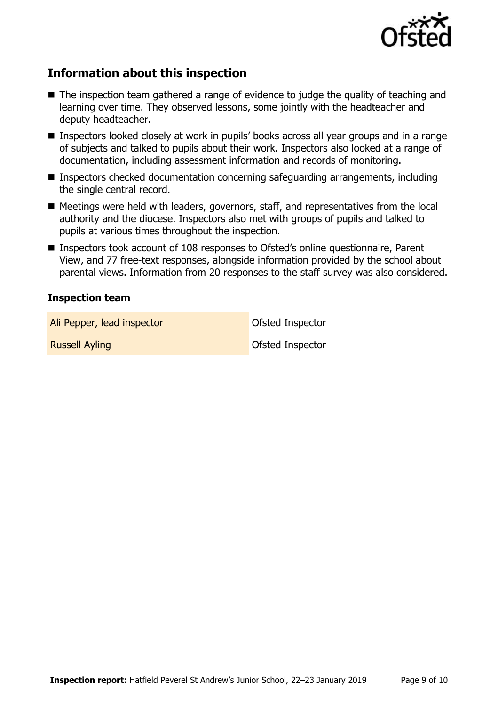

# **Information about this inspection**

- The inspection team gathered a range of evidence to judge the quality of teaching and learning over time. They observed lessons, some jointly with the headteacher and deputy headteacher.
- Inspectors looked closely at work in pupils' books across all year groups and in a range of subjects and talked to pupils about their work. Inspectors also looked at a range of documentation, including assessment information and records of monitoring.
- Inspectors checked documentation concerning safeguarding arrangements, including the single central record.
- Meetings were held with leaders, governors, staff, and representatives from the local authority and the diocese. Inspectors also met with groups of pupils and talked to pupils at various times throughout the inspection.
- Inspectors took account of 108 responses to Ofsted's online questionnaire, Parent View, and 77 free-text responses, alongside information provided by the school about parental views. Information from 20 responses to the staff survey was also considered.

#### **Inspection team**

Ali Pepper, lead inspector and offsted Inspector

**Russell Ayling Community Community Properties Avenue Construction Construction Construction Construction Construction Construction Construction Construction Construction Construction Construction Construction Construction**